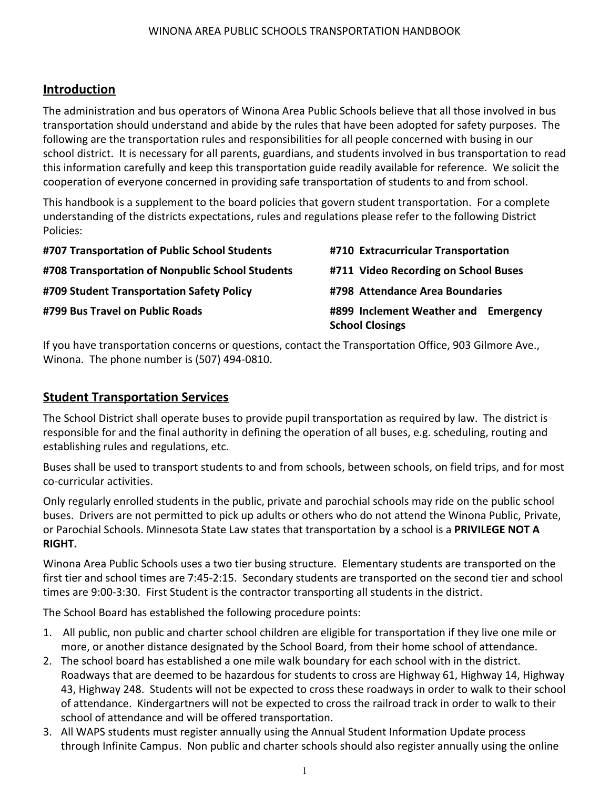## **Introduction**

The administration and bus operators of Winona Area Public Schools believe that all those involved in bus transportation should understand and abide by the rules that have been adopted for safety purposes. The following are the transportation rules and responsibilities for all people concerned with busing in our school district. It is necessary for all parents, guardians, and students involved in bus transportation to read this information carefully and keep this transportation guide readily available for reference. We solicit the cooperation of everyone concerned in providing safe transportation of students to and from school.

This handbook is a supplement to the board policies that govern student transportation. For a complete understanding of the districts expectations, rules and regulations please refer to the following District Policies:

| #707 Transportation of Public School Students    | #710 Extracurricular Transportation                            |
|--------------------------------------------------|----------------------------------------------------------------|
| #708 Transportation of Nonpublic School Students | #711 Video Recording on School Buses                           |
| #709 Student Transportation Safety Policy        | #798 Attendance Area Boundaries                                |
| #799 Bus Travel on Public Roads                  | #899 Inclement Weather and Emergency<br><b>School Closings</b> |

If you have transportation concerns or questions, contact the Transportation Office, 903 Gilmore Ave., Winona. The phone number is (507) 494-0810.

## **Student Transportation Services**

The School District shall operate buses to provide pupil transportation as required by law. The district is responsible for and the final authority in defining the operation of all buses, e.g. scheduling, routing and establishing rules and regulations, etc.

Buses shall be used to transport students to and from schools, between schools, on field trips, and for most co-curricular activities.

Only regularly enrolled students in the public, private and parochial schools may ride on the public school buses. Drivers are not permitted to pick up adults or others who do not attend the Winona Public, Private, or Parochial Schools. Minnesota State Law states that transportation by a school is a **PRIVILEGE NOT A RIGHT.**

Winona Area Public Schools uses a two tier busing structure. Elementary students are transported on the first tier and school times are 7:45-2:15. Secondary students are transported on the second tier and school times are 9:00-3:30. First Student is the contractor transporting all students in the district.

The School Board has established the following procedure points:

- 1. All public, non public and charter school children are eligible for transportation if they live one mile or more, or another distance designated by the School Board, from their home school of attendance.
- 2. The school board has established a one mile walk boundary for each school with in the district. Roadways that are deemed to be hazardous for students to cross are Highway 61, Highway 14, Highway 43, Highway 248. Students will not be expected to cross these roadways in order to walk to their school of attendance. Kindergartners will not be expected to cross the railroad track in order to walk to their school of attendance and will be offered transportation.
- 3. All WAPS students must register annually using the Annual Student Information Update process through Infinite Campus. Non public and charter schools should also register annually using the online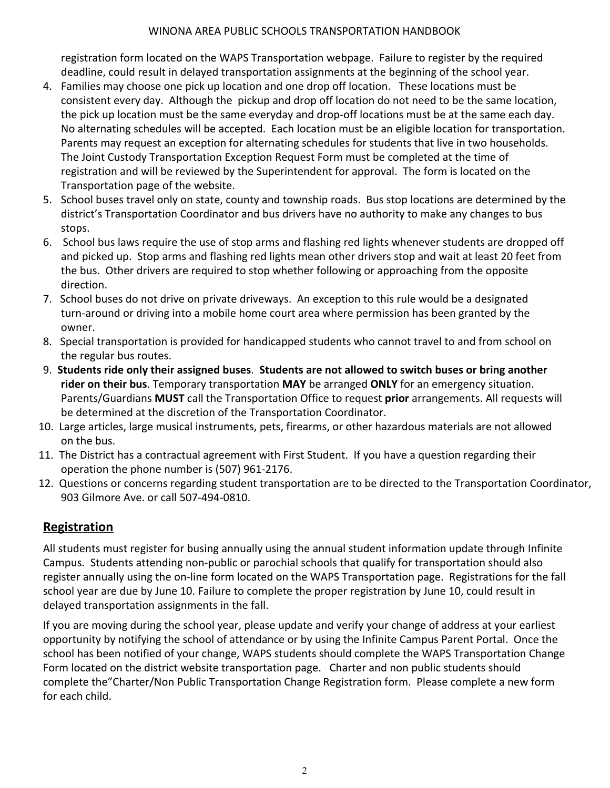registration form located on the WAPS Transportation webpage. Failure to register by the required deadline, could result in delayed transportation assignments at the beginning of the school year.

- 4. Families may choose one pick up location and one drop off location. These locations must be consistent every day. Although the pickup and drop off location do not need to be the same location, the pick up location must be the same everyday and drop-off locations must be at the same each day. No alternating schedules will be accepted. Each location must be an eligible location for transportation. Parents may request an exception for alternating schedules for students that live in two households. The Joint Custody Transportation Exception Request Form must be completed at the time of registration and will be reviewed by the Superintendent for approval. The form is located on the Transportation page of the website.
- 5. School buses travel only on state, county and township roads. Bus stop locations are determined by the district's Transportation Coordinator and bus drivers have no authority to make any changes to bus stops.
- 6. School bus laws require the use of stop arms and flashing red lights whenever students are dropped off and picked up. Stop arms and flashing red lights mean other drivers stop and wait at least 20 feet from the bus. Other drivers are required to stop whether following or approaching from the opposite direction.
- 7. School buses do not drive on private driveways. An exception to this rule would be a designated turn-around or driving into a mobile home court area where permission has been granted by the owner.
- 8. Special transportation is provided for handicapped students who cannot travel to and from school on the regular bus routes.
- 9. **Students ride only their assigned buses**. **Students are not allowed to switch buses or bring another rider on their bus**. Temporary transportation **MAY** be arranged **ONLY** for an emergency situation. Parents/Guardians **MUST** call the Transportation Office to request **prior** arrangements. All requests will be determined at the discretion of the Transportation Coordinator.
- 10. Large articles, large musical instruments, pets, firearms, or other hazardous materials are not allowed on the bus.
- 11. The District has a contractual agreement with First Student. If you have a question regarding their operation the phone number is (507) 961-2176.
- 12. Questions or concerns regarding student transportation are to be directed to the Transportation Coordinator, 903 Gilmore Ave. or call 507-494-0810.

## **Registration**

All students must register for busing annually using the annual student information update through Infinite Campus. Students attending non-public or parochial schools that qualify for transportation should also register annually using the on-line form located on the WAPS Transportation page. Registrations for the fall school year are due by June 10. Failure to complete the proper registration by June 10, could result in delayed transportation assignments in the fall.

If you are moving during the school year, please update and verify your change of address at your earliest opportunity by notifying the school of attendance or by using the Infinite Campus Parent Portal. Once the school has been notified of your change, WAPS students should complete the WAPS Transportation Change Form located on the district website transportation page. Charter and non public students should complete the"Charter/Non Public Transportation Change Registration form. Please complete a new form for each child.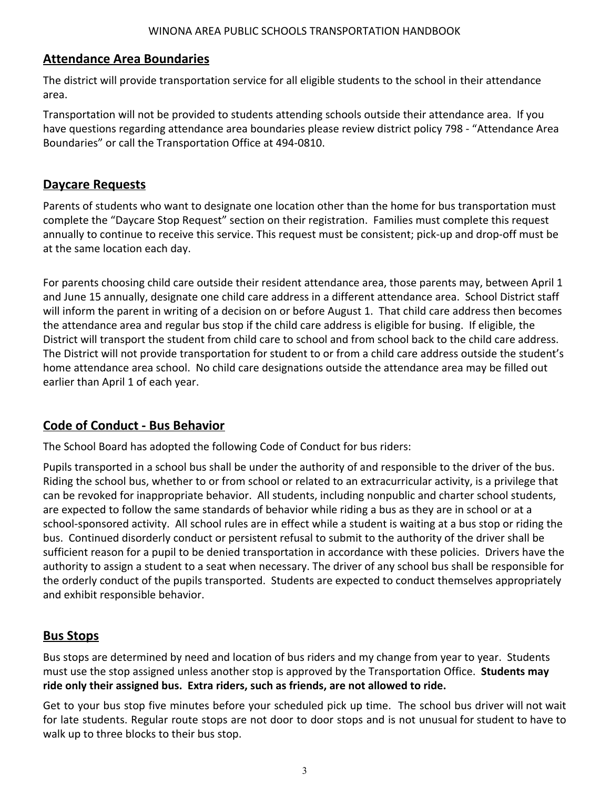## **Attendance Area Boundaries**

The district will provide transportation service for all eligible students to the school in their attendance area.

Transportation will not be provided to students attending schools outside their attendance area. If you have questions regarding attendance area boundaries please review district policy 798 - "Attendance Area Boundaries" or call the Transportation Office at 494-0810.

## **Daycare Requests**

Parents of students who want to designate one location other than the home for bus transportation must complete the "Daycare Stop Request" section on their registration. Families must complete this request annually to continue to receive this service. This request must be consistent; pick-up and drop-off must be at the same location each day.

For parents choosing child care outside their resident attendance area, those parents may, between April 1 and June 15 annually, designate one child care address in a different attendance area. School District staff will inform the parent in writing of a decision on or before August 1. That child care address then becomes the attendance area and regular bus stop if the child care address is eligible for busing. If eligible, the District will transport the student from child care to school and from school back to the child care address. The District will not provide transportation for student to or from a child care address outside the student's home attendance area school. No child care designations outside the attendance area may be filled out earlier than April 1 of each year.

## **Code of Conduct - Bus Behavior**

The School Board has adopted the following Code of Conduct for bus riders:

Pupils transported in a school bus shall be under the authority of and responsible to the driver of the bus. Riding the school bus, whether to or from school or related to an extracurricular activity, is a privilege that can be revoked for inappropriate behavior. All students, including nonpublic and charter school students, are expected to follow the same standards of behavior while riding a bus as they are in school or at a school-sponsored activity. All school rules are in effect while a student is waiting at a bus stop or riding the bus. Continued disorderly conduct or persistent refusal to submit to the authority of the driver shall be sufficient reason for a pupil to be denied transportation in accordance with these policies. Drivers have the authority to assign a student to a seat when necessary. The driver of any school bus shall be responsible for the orderly conduct of the pupils transported. Students are expected to conduct themselves appropriately and exhibit responsible behavior.

## **Bus Stops**

Bus stops are determined by need and location of bus riders and my change from year to year. Students must use the stop assigned unless another stop is approved by the Transportation Office. **Students may ride only their assigned bus. Extra riders, such as friends, are not allowed to ride.**

Get to your bus stop five minutes before your scheduled pick up time. The school bus driver will not wait for late students. Regular route stops are not door to door stops and is not unusual for student to have to walk up to three blocks to their bus stop.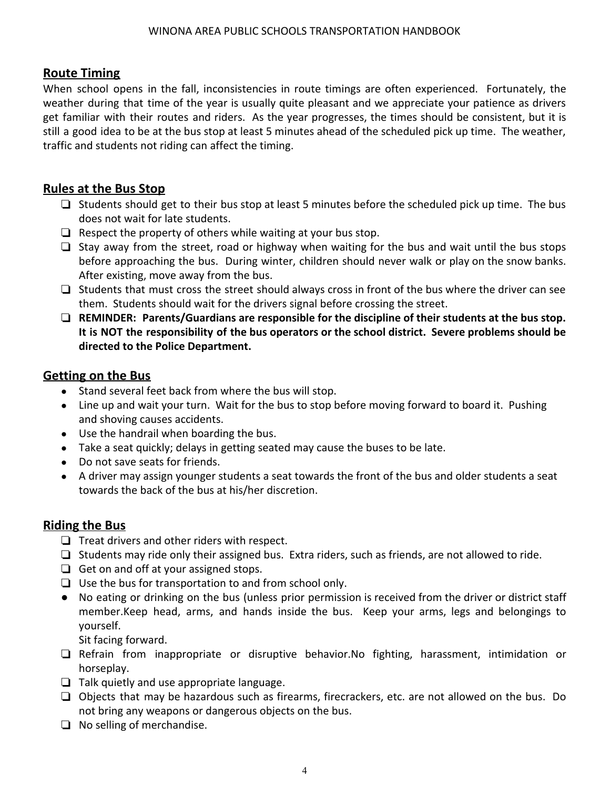## **Route Timing**

When school opens in the fall, inconsistencies in route timings are often experienced. Fortunately, the weather during that time of the year is usually quite pleasant and we appreciate your patience as drivers get familiar with their routes and riders. As the year progresses, the times should be consistent, but it is still a good idea to be at the bus stop at least 5 minutes ahead of the scheduled pick up time. The weather, traffic and students not riding can affect the timing.

## **Rules at the Bus Stop**

- ❏ Students should get to their bus stop at least 5 minutes before the scheduled pick up time. The bus does not wait for late students.
- $\Box$  Respect the property of others while waiting at your bus stop.
- ❏ Stay away from the street, road or highway when waiting for the bus and wait until the bus stops before approaching the bus. During winter, children should never walk or play on the snow banks. After existing, move away from the bus.
- ❏ Students that must cross the street should always cross in front of the bus where the driver can see them. Students should wait for the drivers signal before crossing the street.
- ❏ **REMINDER: Parents/Guardians are responsible for the discipline of their students at the bus stop. It is NOT the responsibility of the bus operators or the school district. Severe problems should be directed to the Police Department.**

## **Getting on the Bus**

- Stand several feet back from where the bus will stop.
- Line up and wait your turn. Wait for the bus to stop before moving forward to board it. Pushing and shoving causes accidents.
- Use the handrail when boarding the bus.
- Take a seat quickly; delays in getting seated may cause the buses to be late.
- Do not save seats for friends.
- A driver may assign younger students a seat towards the front of the bus and older students a seat towards the back of the bus at his/her discretion.

## **Riding the Bus**

- ❏ Treat drivers and other riders with respect.
- ❏ Students may ride only their assigned bus. Extra riders, such as friends, are not allowed to ride.
- ❏ Get on and off at your assigned stops.
- ❏ Use the bus for transportation to and from school only.
- No eating or drinking on the bus (unless prior permission is received from the driver or district staff member.Keep head, arms, and hands inside the bus. Keep your arms, legs and belongings to yourself.

Sit facing forward.

- ❏ Refrain from inappropriate or disruptive behavior.No fighting, harassment, intimidation or horseplay.
- ❏ Talk quietly and use appropriate language.
- ❏ Objects that may be hazardous such as firearms, firecrackers, etc. are not allowed on the bus. Do not bring any weapons or dangerous objects on the bus.
- ❏ No selling of merchandise.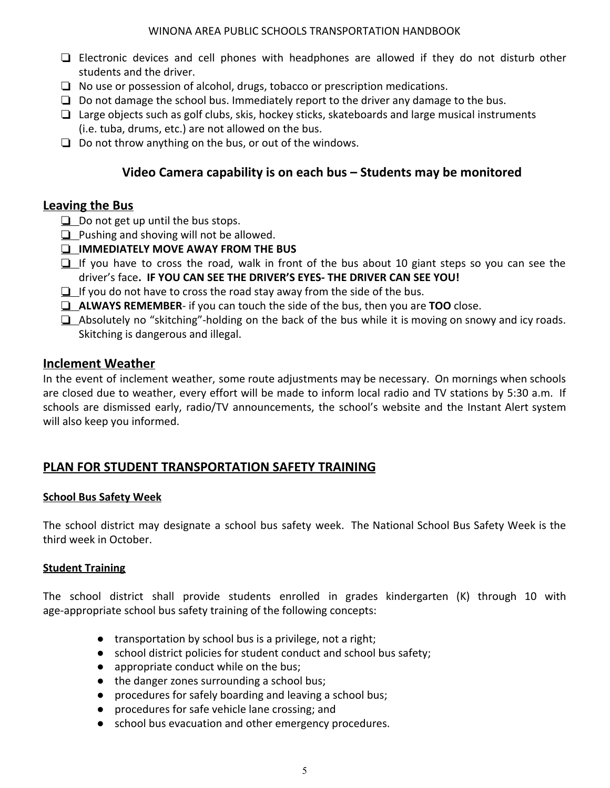- ❏ Electronic devices and cell phones with headphones are allowed if they do not disturb other students and the driver.
- ❏ No use or possession of alcohol, drugs, tobacco or prescription medications.
- $\Box$  Do not damage the school bus. Immediately report to the driver any damage to the bus.
- ❏ Large objects such as golf clubs, skis, hockey sticks, skateboards and large musical instruments (i.e. tuba, drums, etc.) are not allowed on the bus.
- ❏ Do not throw anything on the bus, or out of the windows.

## **Video Camera capability is on each bus – Students may be monitored**

### **Leaving the Bus**

- ❏ Do not get up until the bus stops.
- **<del>□</del>** Pushing and shoving will not be allowed.
- ❏ **IMMEDIATELY MOVE AWAY FROM THE BUS**
- $\Box$  If you have to cross the road, walk in front of the bus about 10 giant steps so you can see the driver's face**. IF YOU CAN SEE THE DRIVER'S EYES- THE DRIVER CAN SEE YOU!**
- $\Box$  If you do not have to cross the road stay away from the side of the bus.
- ❏ **ALWAYS REMEMBER** if you can touch the side of the bus, then you are **TOO** close.
- ❏ Absolutely no "skitching"-holding on the back of the bus while it is moving on snowy and icy roads. Skitching is dangerous and illegal.

### **Inclement Weather**

In the event of inclement weather, some route adjustments may be necessary. On mornings when schools are closed due to weather, every effort will be made to inform local radio and TV stations by 5:30 a.m. If schools are dismissed early, radio/TV announcements, the school's website and the Instant Alert system will also keep you informed.

## **PLAN FOR STUDENT TRANSPORTATION SAFETY TRAINING**

### **School Bus Safety Week**

The school district may designate a school bus safety week. The National School Bus Safety Week is the third week in October.

#### **Student Training**

The school district shall provide students enrolled in grades kindergarten (K) through 10 with age-appropriate school bus safety training of the following concepts:

- transportation by school bus is a privilege, not a right;
- school district policies for student conduct and school bus safety;
- appropriate conduct while on the bus;
- the danger zones surrounding a school bus;
- procedures for safely boarding and leaving a school bus;
- procedures for safe vehicle lane crossing; and
- school bus evacuation and other emergency procedures.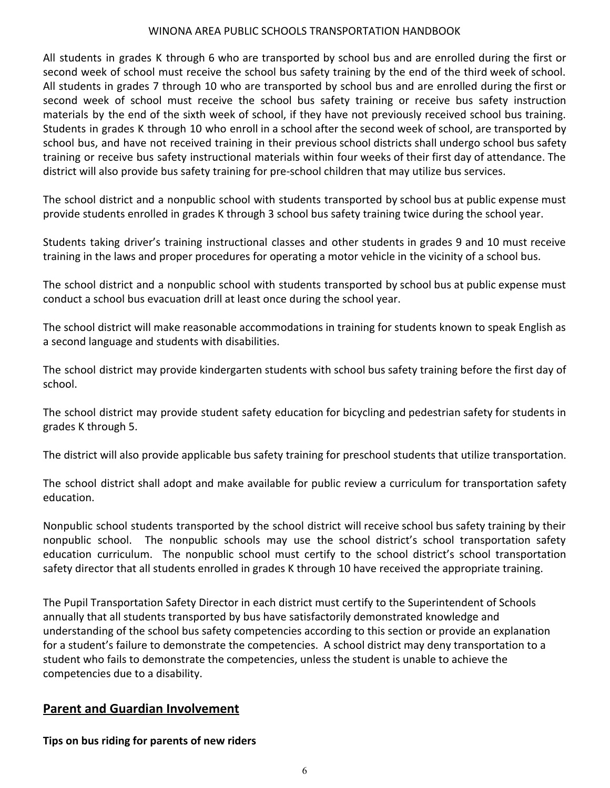All students in grades K through 6 who are transported by school bus and are enrolled during the first or second week of school must receive the school bus safety training by the end of the third week of school. All students in grades 7 through 10 who are transported by school bus and are enrolled during the first or second week of school must receive the school bus safety training or receive bus safety instruction materials by the end of the sixth week of school, if they have not previously received school bus training. Students in grades K through 10 who enroll in a school after the second week of school, are transported by school bus, and have not received training in their previous school districts shall undergo school bus safety training or receive bus safety instructional materials within four weeks of their first day of attendance. The district will also provide bus safety training for pre-school children that may utilize bus services.

The school district and a nonpublic school with students transported by school bus at public expense must provide students enrolled in grades K through 3 school bus safety training twice during the school year.

Students taking driver's training instructional classes and other students in grades 9 and 10 must receive training in the laws and proper procedures for operating a motor vehicle in the vicinity of a school bus.

The school district and a nonpublic school with students transported by school bus at public expense must conduct a school bus evacuation drill at least once during the school year.

The school district will make reasonable accommodations in training for students known to speak English as a second language and students with disabilities.

The school district may provide kindergarten students with school bus safety training before the first day of school.

The school district may provide student safety education for bicycling and pedestrian safety for students in grades K through 5.

The district will also provide applicable bus safety training for preschool students that utilize transportation.

The school district shall adopt and make available for public review a curriculum for transportation safety education.

Nonpublic school students transported by the school district will receive school bus safety training by their nonpublic school. The nonpublic schools may use the school district's school transportation safety education curriculum. The nonpublic school must certify to the school district's school transportation safety director that all students enrolled in grades K through 10 have received the appropriate training.

The Pupil Transportation Safety Director in each district must certify to the Superintendent of Schools annually that all students transported by bus have satisfactorily demonstrated knowledge and understanding of the school bus safety competencies according to this section or provide an explanation for a student's failure to demonstrate the competencies. A school district may deny transportation to a student who fails to demonstrate the competencies, unless the student is unable to achieve the competencies due to a disability.

### **Parent and Guardian Involvement**

**Tips on bus riding for parents of new riders**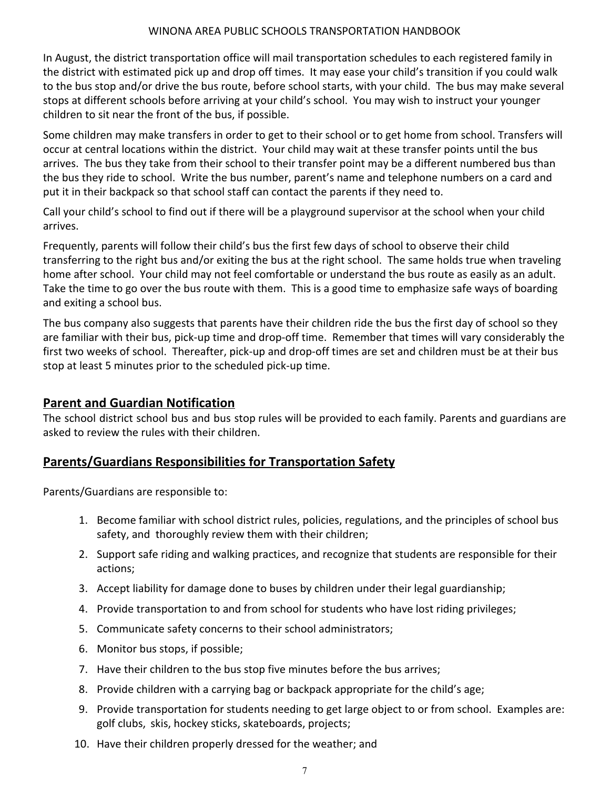In August, the district transportation office will mail transportation schedules to each registered family in the district with estimated pick up and drop off times. It may ease your child's transition if you could walk to the bus stop and/or drive the bus route, before school starts, with your child. The bus may make several stops at different schools before arriving at your child's school. You may wish to instruct your younger children to sit near the front of the bus, if possible.

Some children may make transfers in order to get to their school or to get home from school. Transfers will occur at central locations within the district. Your child may wait at these transfer points until the bus arrives. The bus they take from their school to their transfer point may be a different numbered bus than the bus they ride to school. Write the bus number, parent's name and telephone numbers on a card and put it in their backpack so that school staff can contact the parents if they need to.

Call your child's school to find out if there will be a playground supervisor at the school when your child arrives.

Frequently, parents will follow their child's bus the first few days of school to observe their child transferring to the right bus and/or exiting the bus at the right school. The same holds true when traveling home after school. Your child may not feel comfortable or understand the bus route as easily as an adult. Take the time to go over the bus route with them. This is a good time to emphasize safe ways of boarding and exiting a school bus.

The bus company also suggests that parents have their children ride the bus the first day of school so they are familiar with their bus, pick-up time and drop-off time. Remember that times will vary considerably the first two weeks of school. Thereafter, pick-up and drop-off times are set and children must be at their bus stop at least 5 minutes prior to the scheduled pick-up time.

### **Parent and Guardian Notification**

The school district school bus and bus stop rules will be provided to each family. Parents and guardians are asked to review the rules with their children.

## **Parents/Guardians Responsibilities for Transportation Safety**

Parents/Guardians are responsible to:

- 1. Become familiar with school district rules, policies, regulations, and the principles of school bus safety, and thoroughly review them with their children;
- 2. Support safe riding and walking practices, and recognize that students are responsible for their actions;
- 3. Accept liability for damage done to buses by children under their legal guardianship;
- 4. Provide transportation to and from school for students who have lost riding privileges;
- 5. Communicate safety concerns to their school administrators;
- 6. Monitor bus stops, if possible;
- 7. Have their children to the bus stop five minutes before the bus arrives;
- 8. Provide children with a carrying bag or backpack appropriate for the child's age;
- 9. Provide transportation for students needing to get large object to or from school. Examples are: golf clubs, skis, hockey sticks, skateboards, projects;
- 10. Have their children properly dressed for the weather; and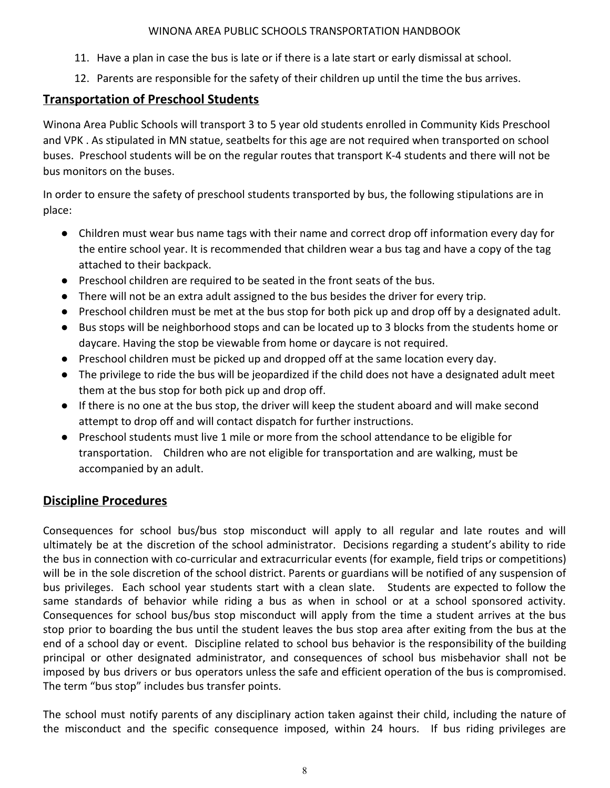- 11. Have a plan in case the bus is late or if there is a late start or early dismissal at school.
- 12. Parents are responsible for the safety of their children up until the time the bus arrives.

# **Transportation of Preschool Students**

Winona Area Public Schools will transport 3 to 5 year old students enrolled in Community Kids Preschool and VPK . As stipulated in MN statue, seatbelts for this age are not required when transported on school buses. Preschool students will be on the regular routes that transport K-4 students and there will not be bus monitors on the buses.

In order to ensure the safety of preschool students transported by bus, the following stipulations are in place:

- Children must wear bus name tags with their name and correct drop off information every day for the entire school year. It is recommended that children wear a bus tag and have a copy of the tag attached to their backpack.
- Preschool children are required to be seated in the front seats of the bus.
- There will not be an extra adult assigned to the bus besides the driver for every trip.
- Preschool children must be met at the bus stop for both pick up and drop off by a designated adult.
- Bus stops will be neighborhood stops and can be located up to 3 blocks from the students home or daycare. Having the stop be viewable from home or daycare is not required.
- Preschool children must be picked up and dropped off at the same location every day.
- The privilege to ride the bus will be jeopardized if the child does not have a designated adult meet them at the bus stop for both pick up and drop off.
- If there is no one at the bus stop, the driver will keep the student aboard and will make second attempt to drop off and will contact dispatch for further instructions.
- Preschool students must live 1 mile or more from the school attendance to be eligible for transportation. Children who are not eligible for transportation and are walking, must be accompanied by an adult.

# **Discipline Procedures**

Consequences for school bus/bus stop misconduct will apply to all regular and late routes and will ultimately be at the discretion of the school administrator. Decisions regarding a student's ability to ride the bus in connection with co-curricular and extracurricular events (for example, field trips or competitions) will be in the sole discretion of the school district. Parents or guardians will be notified of any suspension of bus privileges. Each school year students start with a clean slate. Students are expected to follow the same standards of behavior while riding a bus as when in school or at a school sponsored activity. Consequences for school bus/bus stop misconduct will apply from the time a student arrives at the bus stop prior to boarding the bus until the student leaves the bus stop area after exiting from the bus at the end of a school day or event. Discipline related to school bus behavior is the responsibility of the building principal or other designated administrator, and consequences of school bus misbehavior shall not be imposed by bus drivers or bus operators unless the safe and efficient operation of the bus is compromised. The term "bus stop" includes bus transfer points.

The school must notify parents of any disciplinary action taken against their child, including the nature of the misconduct and the specific consequence imposed, within 24 hours. If bus riding privileges are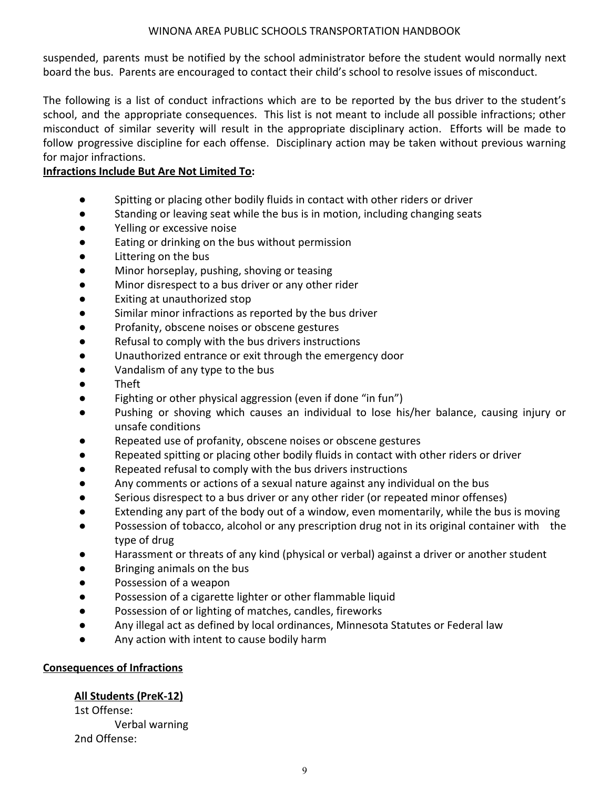suspended, parents must be notified by the school administrator before the student would normally next board the bus. Parents are encouraged to contact their child's school to resolve issues of misconduct.

The following is a list of conduct infractions which are to be reported by the bus driver to the student's school, and the appropriate consequences. This list is not meant to include all possible infractions; other misconduct of similar severity will result in the appropriate disciplinary action. Efforts will be made to follow progressive discipline for each offense. Disciplinary action may be taken without previous warning for major infractions.

### **Infractions Include But Are Not Limited To:**

- Spitting or placing other bodily fluids in contact with other riders or driver
- Standing or leaving seat while the bus is in motion, including changing seats
- Yelling or excessive noise
- Eating or drinking on the bus without permission
- Littering on the bus
- Minor horseplay, pushing, shoving or teasing
- Minor disrespect to a bus driver or any other rider
- Exiting at unauthorized stop
- Similar minor infractions as reported by the bus driver
- Profanity, obscene noises or obscene gestures
- Refusal to comply with the bus drivers instructions
- Unauthorized entrance or exit through the emergency door
- Vandalism of any type to the bus
- Theft
- Fighting or other physical aggression (even if done "in fun")
- Pushing or shoving which causes an individual to lose his/her balance, causing injury or unsafe conditions
- Repeated use of profanity, obscene noises or obscene gestures
- Repeated spitting or placing other bodily fluids in contact with other riders or driver
- Repeated refusal to comply with the bus drivers instructions
- Any comments or actions of a sexual nature against any individual on the bus
- Serious disrespect to a bus driver or any other rider (or repeated minor offenses)
- Extending any part of the body out of a window, even momentarily, while the bus is moving
- Possession of tobacco, alcohol or any prescription drug not in its original container with the type of drug
- Harassment or threats of any kind (physical or verbal) against a driver or another student
- Bringing animals on the bus
- Possession of a weapon
- Possession of a cigarette lighter or other flammable liquid
- Possession of or lighting of matches, candles, fireworks
- Any illegal act as defined by local ordinances, Minnesota Statutes or Federal law
- Any action with intent to cause bodily harm

#### **Consequences of Infractions**

#### **All Students (PreK-12)**

1st Offense: Verbal warning 2nd Offense: